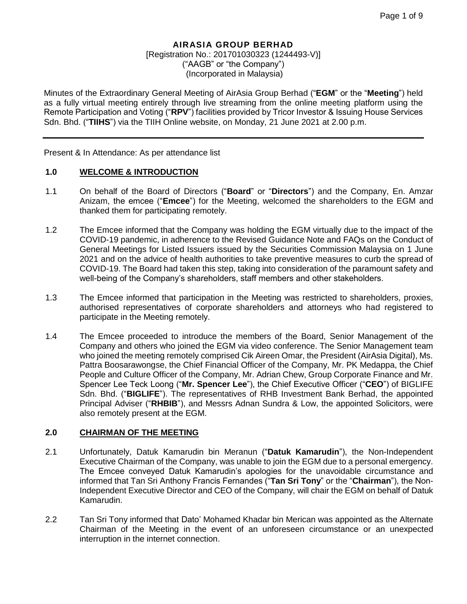# **AIRASIA GROUP BERHAD**

[Registration No.: 201701030323 (1244493-V)] ("AAGB" or "the Company") (Incorporated in Malaysia)

Minutes of the Extraordinary General Meeting of AirAsia Group Berhad ("**EGM**" or the "**Meeting**") held as a fully virtual meeting entirely through live streaming from the online meeting platform using the Remote Participation and Voting ("**RPV**") facilities provided by Tricor Investor & Issuing House Services Sdn. Bhd. ("**TIIHS**") via the TIIH Online website, on Monday, 21 June 2021 at 2.00 p.m.

Present & In Attendance: As per attendance list

#### **1.0 WELCOME & INTRODUCTION**

- 1.1 On behalf of the Board of Directors ("**Board**" or "**Directors**") and the Company, En. Amzar Anizam, the emcee ("**Emcee**") for the Meeting, welcomed the shareholders to the EGM and thanked them for participating remotely.
- 1.2 The Emcee informed that the Company was holding the EGM virtually due to the impact of the COVID-19 pandemic, in adherence to the Revised Guidance Note and FAQs on the Conduct of General Meetings for Listed Issuers issued by the Securities Commission Malaysia on 1 June 2021 and on the advice of health authorities to take preventive measures to curb the spread of COVID-19. The Board had taken this step, taking into consideration of the paramount safety and well-being of the Company's shareholders, staff members and other stakeholders.
- 1.3 The Emcee informed that participation in the Meeting was restricted to shareholders, proxies, authorised representatives of corporate shareholders and attorneys who had registered to participate in the Meeting remotely.
- 1.4 The Emcee proceeded to introduce the members of the Board, Senior Management of the Company and others who joined the EGM via video conference. The Senior Management team who joined the meeting remotely comprised Cik Aireen Omar, the President (AirAsia Digital), Ms. Pattra Boosarawongse, the Chief Financial Officer of the Company, Mr. PK Medappa, the Chief People and Culture Officer of the Company, Mr. Adrian Chew, Group Corporate Finance and Mr. Spencer Lee Teck Loong ("**Mr. Spencer Lee**"), the Chief Executive Officer ("**CEO**") of BIGLIFE Sdn. Bhd. ("**BIGLIFE**"). The representatives of RHB Investment Bank Berhad, the appointed Principal Adviser ("**RHBIB**"), and Messrs Adnan Sundra & Low, the appointed Solicitors, were also remotely present at the EGM.

## **2.0 CHAIRMAN OF THE MEETING**

- 2.1 Unfortunately, Datuk Kamarudin bin Meranun ("**Datuk Kamarudin**"), the Non-Independent Executive Chairman of the Company, was unable to join the EGM due to a personal emergency. The Emcee conveyed Datuk Kamarudin's apologies for the unavoidable circumstance and informed that Tan Sri Anthony Francis Fernandes ("**Tan Sri Tony**" or the "**Chairman**"), the Non-Independent Executive Director and CEO of the Company, will chair the EGM on behalf of Datuk Kamarudin.
- 2.2 Tan Sri Tony informed that Dato' Mohamed Khadar bin Merican was appointed as the Alternate Chairman of the Meeting in the event of an unforeseen circumstance or an unexpected interruption in the internet connection.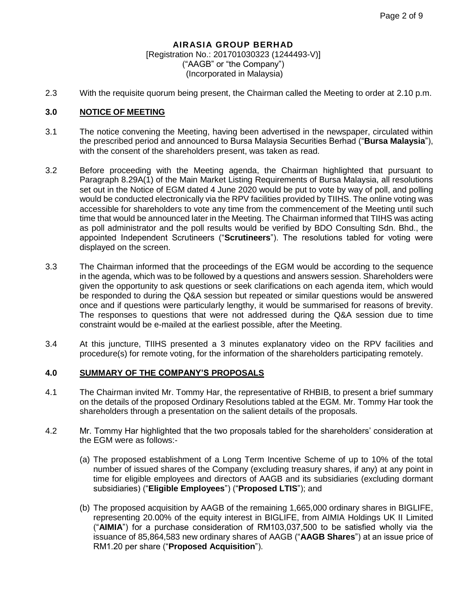2.3 With the requisite quorum being present, the Chairman called the Meeting to order at 2.10 p.m.

#### **3.0 NOTICE OF MEETING**

- 3.1 The notice convening the Meeting, having been advertised in the newspaper, circulated within the prescribed period and announced to Bursa Malaysia Securities Berhad ("**Bursa Malaysia**"), with the consent of the shareholders present, was taken as read.
- 3.2 Before proceeding with the Meeting agenda, the Chairman highlighted that pursuant to Paragraph 8.29A(1) of the Main Market Listing Requirements of Bursa Malaysia, all resolutions set out in the Notice of EGM dated 4 June 2020 would be put to vote by way of poll, and polling would be conducted electronically via the RPV facilities provided by TIIHS. The online voting was accessible for shareholders to vote any time from the commencement of the Meeting until such time that would be announced later in the Meeting. The Chairman informed that TIIHS was acting as poll administrator and the poll results would be verified by BDO Consulting Sdn. Bhd., the appointed Independent Scrutineers ("**Scrutineers**"). The resolutions tabled for voting were displayed on the screen.
- 3.3 The Chairman informed that the proceedings of the EGM would be according to the sequence in the agenda, which was to be followed by a questions and answers session. Shareholders were given the opportunity to ask questions or seek clarifications on each agenda item, which would be responded to during the Q&A session but repeated or similar questions would be answered once and if questions were particularly lengthy, it would be summarised for reasons of brevity. The responses to questions that were not addressed during the Q&A session due to time constraint would be e-mailed at the earliest possible, after the Meeting.
- 3.4 At this juncture, TIIHS presented a 3 minutes explanatory video on the RPV facilities and procedure(s) for remote voting, for the information of the shareholders participating remotely.

#### **4.0 SUMMARY OF THE COMPANY'S PROPOSALS**

- 4.1 The Chairman invited Mr. Tommy Har, the representative of RHBIB, to present a brief summary on the details of the proposed Ordinary Resolutions tabled at the EGM. Mr. Tommy Har took the shareholders through a presentation on the salient details of the proposals.
- 4.2 Mr. Tommy Har highlighted that the two proposals tabled for the shareholders' consideration at the EGM were as follows:-
	- (a) The proposed establishment of a Long Term Incentive Scheme of up to 10% of the total number of issued shares of the Company (excluding treasury shares, if any) at any point in time for eligible employees and directors of AAGB and its subsidiaries (excluding dormant subsidiaries) ("**Eligible Employees**") ("**Proposed LTIS**"); and
	- (b) The proposed acquisition by AAGB of the remaining 1,665,000 ordinary shares in BIGLIFE, representing 20.00% of the equity interest in BIGLIFE, from AIMIA Holdings UK II Limited ("**AIMIA**") for a purchase consideration of RM103,037,500 to be satisfied wholly via the issuance of 85,864,583 new ordinary shares of AAGB ("**AAGB Shares**") at an issue price of RM1.20 per share ("**Proposed Acquisition**").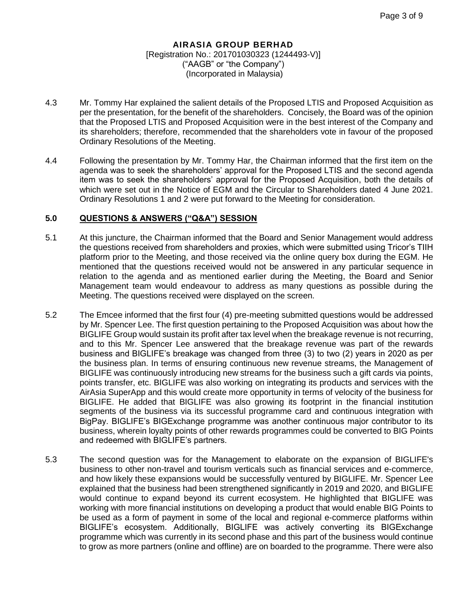- 4.3 Mr. Tommy Har explained the salient details of the Proposed LTIS and Proposed Acquisition as per the presentation, for the benefit of the shareholders. Concisely, the Board was of the opinion that the Proposed LTIS and Proposed Acquisition were in the best interest of the Company and its shareholders; therefore, recommended that the shareholders vote in favour of the proposed Ordinary Resolutions of the Meeting.
- 4.4 Following the presentation by Mr. Tommy Har, the Chairman informed that the first item on the agenda was to seek the shareholders' approval for the Proposed LTIS and the second agenda item was to seek the shareholders' approval for the Proposed Acquisition, both the details of which were set out in the Notice of EGM and the Circular to Shareholders dated 4 June 2021. Ordinary Resolutions 1 and 2 were put forward to the Meeting for consideration.

#### **5.0 QUESTIONS & ANSWERS ("Q&A") SESSION**

- 5.1 At this juncture, the Chairman informed that the Board and Senior Management would address the questions received from shareholders and proxies, which were submitted using Tricor's TIIH platform prior to the Meeting, and those received via the online query box during the EGM. He mentioned that the questions received would not be answered in any particular sequence in relation to the agenda and as mentioned earlier during the Meeting, the Board and Senior Management team would endeavour to address as many questions as possible during the Meeting. The questions received were displayed on the screen.
- 5.2 The Emcee informed that the first four (4) pre-meeting submitted questions would be addressed by Mr. Spencer Lee. The first question pertaining to the Proposed Acquisition was about how the BIGLIFE Group would sustain its profit after tax level when the breakage revenue is not recurring, and to this Mr. Spencer Lee answered that the breakage revenue was part of the rewards business and BIGLIFE's breakage was changed from three (3) to two (2) years in 2020 as per the business plan. In terms of ensuring continuous new revenue streams, the Management of BIGLIFE was continuously introducing new streams for the business such a gift cards via points, points transfer, etc. BIGLIFE was also working on integrating its products and services with the AirAsia SuperApp and this would create more opportunity in terms of velocity of the business for BIGLIFE. He added that BIGLIFE was also growing its footprint in the financial institution segments of the business via its successful programme card and continuous integration with BigPay. BIGLIFE's BIGExchange programme was another continuous major contributor to its business, wherein loyalty points of other rewards programmes could be converted to BIG Points and redeemed with BIGLIFE's partners.
- 5.3 The second question was for the Management to elaborate on the expansion of BIGLIFE's business to other non-travel and tourism verticals such as financial services and e-commerce, and how likely these expansions would be successfully ventured by BIGLIFE. Mr. Spencer Lee explained that the business had been strengthened significantly in 2019 and 2020, and BIGLIFE would continue to expand beyond its current ecosystem. He highlighted that BIGLIFE was working with more financial institutions on developing a product that would enable BIG Points to be used as a form of payment in some of the local and regional e-commerce platforms within BIGLIFE's ecosystem. Additionally, BIGLIFE was actively converting its BIGExchange programme which was currently in its second phase and this part of the business would continue to grow as more partners (online and offline) are on boarded to the programme. There were also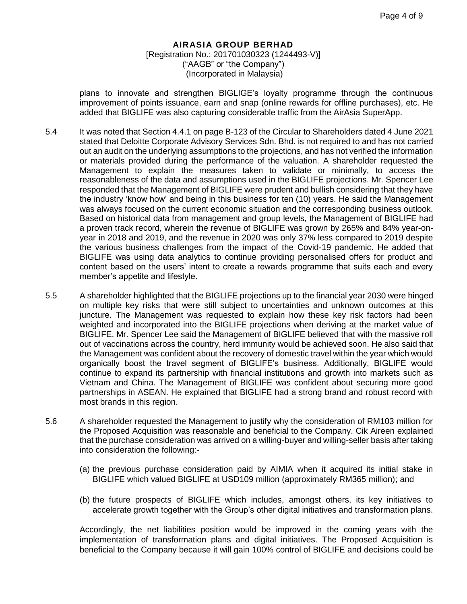plans to innovate and strengthen BIGLIGE's loyalty programme through the continuous improvement of points issuance, earn and snap (online rewards for offline purchases), etc. He added that BIGLIFE was also capturing considerable traffic from the AirAsia SuperApp.

- 5.4 It was noted that Section 4.4.1 on page B-123 of the Circular to Shareholders dated 4 June 2021 stated that Deloitte Corporate Advisory Services Sdn. Bhd. is not required to and has not carried out an audit on the underlying assumptions to the projections, and has not verified the information or materials provided during the performance of the valuation. A shareholder requested the Management to explain the measures taken to validate or minimally, to access the reasonableness of the data and assumptions used in the BIGLIFE projections. Mr. Spencer Lee responded that the Management of BIGLIFE were prudent and bullish considering that they have the industry 'know how' and being in this business for ten (10) years. He said the Management was always focused on the current economic situation and the corresponding business outlook. Based on historical data from management and group levels, the Management of BIGLIFE had a proven track record, wherein the revenue of BIGLIFE was grown by 265% and 84% year-onyear in 2018 and 2019, and the revenue in 2020 was only 37% less compared to 2019 despite the various business challenges from the impact of the Covid-19 pandemic. He added that BIGLIFE was using data analytics to continue providing personalised offers for product and content based on the users' intent to create a rewards programme that suits each and every member's appetite and lifestyle.
- 5.5 A shareholder highlighted that the BIGLIFE projections up to the financial year 2030 were hinged on multiple key risks that were still subject to uncertainties and unknown outcomes at this juncture. The Management was requested to explain how these key risk factors had been weighted and incorporated into the BIGLIFE projections when deriving at the market value of BIGLIFE. Mr. Spencer Lee said the Management of BIGLIFE believed that with the massive roll out of vaccinations across the country, herd immunity would be achieved soon. He also said that the Management was confident about the recovery of domestic travel within the year which would organically boost the travel segment of BIGLIFE's business. Additionally, BIGLIFE would continue to expand its partnership with financial institutions and growth into markets such as Vietnam and China. The Management of BIGLIFE was confident about securing more good partnerships in ASEAN. He explained that BIGLIFE had a strong brand and robust record with most brands in this region.
- 5.6 A shareholder requested the Management to justify why the consideration of RM103 million for the Proposed Acquisition was reasonable and beneficial to the Company. Cik Aireen explained that the purchase consideration was arrived on a willing-buyer and willing-seller basis after taking into consideration the following:-
	- (a) the previous purchase consideration paid by AIMIA when it acquired its initial stake in BIGLIFE which valued BIGLIFE at USD109 million (approximately RM365 million); and
	- (b) the future prospects of BIGLIFE which includes, amongst others, its key initiatives to accelerate growth together with the Group's other digital initiatives and transformation plans.

Accordingly, the net liabilities position would be improved in the coming years with the implementation of transformation plans and digital initiatives. The Proposed Acquisition is beneficial to the Company because it will gain 100% control of BIGLIFE and decisions could be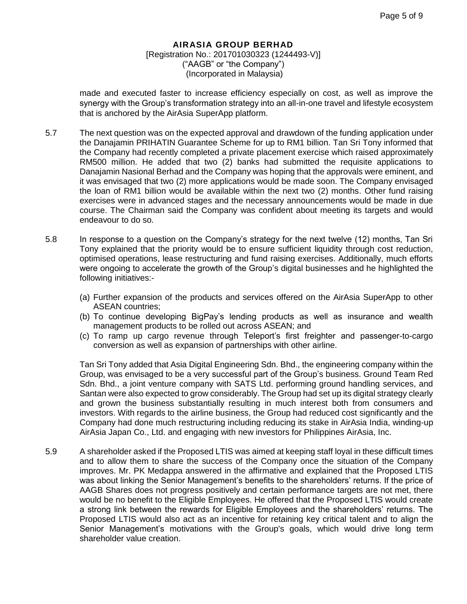made and executed faster to increase efficiency especially on cost, as well as improve the synergy with the Group's transformation strategy into an all-in-one travel and lifestyle ecosystem that is anchored by the AirAsia SuperApp platform.

- 5.7 The next question was on the expected approval and drawdown of the funding application under the Danajamin PRIHATIN Guarantee Scheme for up to RM1 billion. Tan Sri Tony informed that the Company had recently completed a private placement exercise which raised approximately RM500 million. He added that two (2) banks had submitted the requisite applications to Danajamin Nasional Berhad and the Company was hoping that the approvals were eminent, and it was envisaged that two (2) more applications would be made soon. The Company envisaged the loan of RM1 billion would be available within the next two (2) months. Other fund raising exercises were in advanced stages and the necessary announcements would be made in due course. The Chairman said the Company was confident about meeting its targets and would endeavour to do so.
- 5.8 In response to a question on the Company's strategy for the next twelve (12) months, Tan Sri Tony explained that the priority would be to ensure sufficient liquidity through cost reduction, optimised operations, lease restructuring and fund raising exercises. Additionally, much efforts were ongoing to accelerate the growth of the Group's digital businesses and he highlighted the following initiatives:-
	- (a) Further expansion of the products and services offered on the AirAsia SuperApp to other ASEAN countries;
	- (b) To continue developing BigPay's lending products as well as insurance and wealth management products to be rolled out across ASEAN; and
	- (c) To ramp up cargo revenue through Teleport's first freighter and passenger-to-cargo conversion as well as expansion of partnerships with other airline.

Tan Sri Tony added that Asia Digital Engineering Sdn. Bhd., the engineering company within the Group, was envisaged to be a very successful part of the Group's business. Ground Team Red Sdn. Bhd., a joint venture company with SATS Ltd. performing ground handling services, and Santan were also expected to grow considerably. The Group had set up its digital strategy clearly and grown the business substantially resulting in much interest both from consumers and investors. With regards to the airline business, the Group had reduced cost significantly and the Company had done much restructuring including reducing its stake in AirAsia India, winding-up AirAsia Japan Co., Ltd. and engaging with new investors for Philippines AirAsia, Inc.

5.9 A shareholder asked if the Proposed LTIS was aimed at keeping staff loyal in these difficult times and to allow them to share the success of the Company once the situation of the Company improves. Mr. PK Medappa answered in the affirmative and explained that the Proposed LTIS was about linking the Senior Management's benefits to the shareholders' returns. If the price of AAGB Shares does not progress positively and certain performance targets are not met, there would be no benefit to the Eligible Employees. He offered that the Proposed LTIS would create a strong link between the rewards for Eligible Employees and the shareholders' returns. The Proposed LTIS would also act as an incentive for retaining key critical talent and to align the Senior Management's motivations with the Group's goals, which would drive long term shareholder value creation.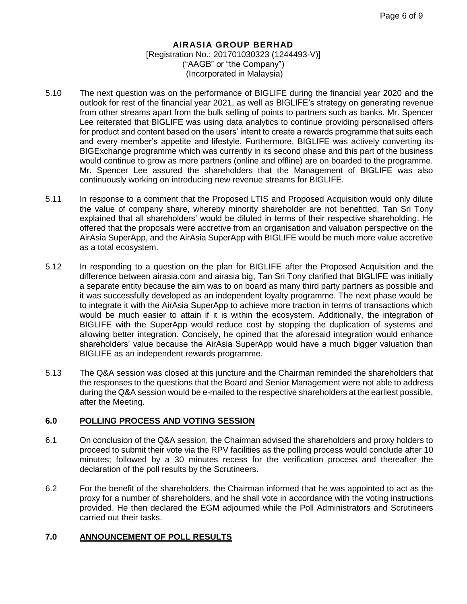- 5.10 The next question was on the performance of BIGLIFE during the financial year 2020 and the outlook for rest of the financial year 2021, as well as BIGLIFE's strategy on generating revenue from other streams apart from the bulk selling of points to partners such as banks. Mr. Spencer Lee reiterated that BIGLIFE was using data analytics to continue providing personalised offers for product and content based on the users' intent to create a rewards programme that suits each and every member's appetite and lifestyle. Furthermore, BIGLIFE was actively converting its BIGExchange programme which was currently in its second phase and this part of the business would continue to grow as more partners (online and offline) are on boarded to the programme. Mr. Spencer Lee assured the shareholders that the Management of BIGLIFE was also continuously working on introducing new revenue streams for BIGLIFE.
- 5.11 In response to a comment that the Proposed LTIS and Proposed Acquisition would only dilute the value of company share, whereby minority shareholder are not benefitted, Tan Sri Tony explained that all shareholders' would be diluted in terms of their respective shareholding. He offered that the proposals were accretive from an organisation and valuation perspective on the AirAsia SuperApp, and the AirAsia SuperApp with BIGLIFE would be much more value accretive as a total ecosystem.
- 5.12 In responding to a question on the plan for BIGLIFE after the Proposed Acquisition and the difference between airasia.com and airasia big, Tan Sri Tony clarified that BIGLIFE was initially a separate entity because the aim was to on board as many third party partners as possible and it was successfully developed as an independent loyalty programme. The next phase would be to integrate it with the AirAsia SuperApp to achieve more traction in terms of transactions which would be much easier to attain if it is within the ecosystem. Additionally, the integration of BIGLIFE with the SuperApp would reduce cost by stopping the duplication of systems and allowing better integration. Concisely, he opined that the aforesaid integration would enhance shareholders' value because the AirAsia SuperApp would have a much bigger valuation than BIGLIFE as an independent rewards programme.
- 5.13 The Q&A session was closed at this juncture and the Chairman reminded the shareholders that the responses to the questions that the Board and Senior Management were not able to address during the Q&A session would be e-mailed to the respective shareholders at the earliest possible, after the Meeting.

#### **6.0 POLLING PROCESS AND VOTING SESSION**

- 6.1 On conclusion of the Q&A session, the Chairman advised the shareholders and proxy holders to proceed to submit their vote via the RPV facilities as the polling process would conclude after 10 minutes; followed by a 30 minutes recess for the verification process and thereafter the declaration of the poll results by the Scrutineers.
- 6.2 For the benefit of the shareholders, the Chairman informed that he was appointed to act as the proxy for a number of shareholders, and he shall vote in accordance with the voting instructions provided. He then declared the EGM adjourned while the Poll Administrators and Scrutineers carried out their tasks.

## **7.0 ANNOUNCEMENT OF POLL RESULTS**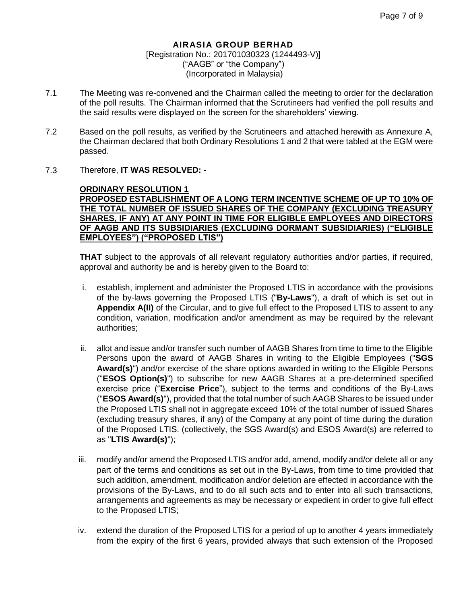- 7.1 The Meeting was re-convened and the Chairman called the meeting to order for the declaration of the poll results. The Chairman informed that the Scrutineers had verified the poll results and the said results were displayed on the screen for the shareholders' viewing.
- 7.2 Based on the poll results, as verified by the Scrutineers and attached herewith as Annexure A, the Chairman declared that both Ordinary Resolutions 1 and 2 that were tabled at the EGM were passed.
- 7.3 Therefore, **IT WAS RESOLVED: -**

**ORDINARY RESOLUTION 1 PROPOSED ESTABLISHMENT OF A LONG TERM INCENTIVE SCHEME OF UP TO 10% OF THE TOTAL NUMBER OF ISSUED SHARES OF THE COMPANY (EXCLUDING TREASURY SHARES, IF ANY) AT ANY POINT IN TIME FOR ELIGIBLE EMPLOYEES AND DIRECTORS OF AAGB AND ITS SUBSIDIARIES (EXCLUDING DORMANT SUBSIDIARIES) ("ELIGIBLE EMPLOYEES") ("PROPOSED LTIS")**

**THAT** subject to the approvals of all relevant regulatory authorities and/or parties, if required, approval and authority be and is hereby given to the Board to:

- i. establish, implement and administer the Proposed LTIS in accordance with the provisions of the by-laws governing the Proposed LTIS ("**By-Laws**"), a draft of which is set out in **Appendix A(II)** of the Circular, and to give full effect to the Proposed LTIS to assent to any condition, variation, modification and/or amendment as may be required by the relevant authorities;
- ii. allot and issue and/or transfer such number of AAGB Shares from time to time to the Eligible Persons upon the award of AAGB Shares in writing to the Eligible Employees ("**SGS Award(s)**") and/or exercise of the share options awarded in writing to the Eligible Persons ("**ESOS Option(s)**") to subscribe for new AAGB Shares at a pre-determined specified exercise price ("**Exercise Price**"), subject to the terms and conditions of the By-Laws ("**ESOS Award(s)**"), provided that the total number of such AAGB Shares to be issued under the Proposed LTIS shall not in aggregate exceed 10% of the total number of issued Shares (excluding treasury shares, if any) of the Company at any point of time during the duration of the Proposed LTIS. (collectively, the SGS Award(s) and ESOS Award(s) are referred to as "**LTIS Award(s)**");
- iii. modify and/or amend the Proposed LTIS and/or add, amend, modify and/or delete all or any part of the terms and conditions as set out in the By-Laws, from time to time provided that such addition, amendment, modification and/or deletion are effected in accordance with the provisions of the By-Laws, and to do all such acts and to enter into all such transactions, arrangements and agreements as may be necessary or expedient in order to give full effect to the Proposed LTIS;
- iv. extend the duration of the Proposed LTIS for a period of up to another 4 years immediately from the expiry of the first 6 years, provided always that such extension of the Proposed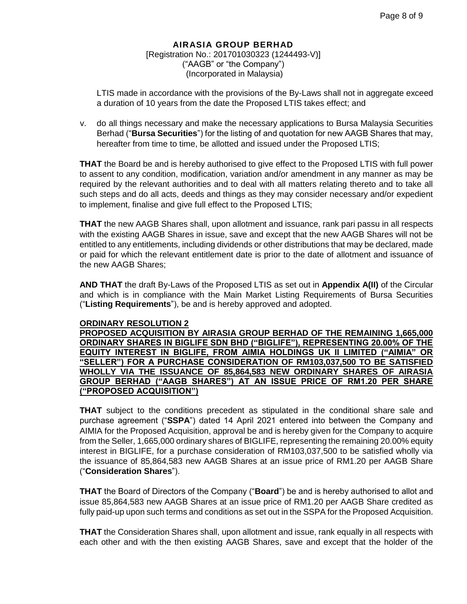LTIS made in accordance with the provisions of the By-Laws shall not in aggregate exceed a duration of 10 years from the date the Proposed LTIS takes effect; and

v. do all things necessary and make the necessary applications to Bursa Malaysia Securities Berhad ("**Bursa Securities**") for the listing of and quotation for new AAGB Shares that may, hereafter from time to time, be allotted and issued under the Proposed LTIS;

**THAT** the Board be and is hereby authorised to give effect to the Proposed LTIS with full power to assent to any condition, modification, variation and/or amendment in any manner as may be required by the relevant authorities and to deal with all matters relating thereto and to take all such steps and do all acts, deeds and things as they may consider necessary and/or expedient to implement, finalise and give full effect to the Proposed LTIS;

**THAT** the new AAGB Shares shall, upon allotment and issuance, rank pari passu in all respects with the existing AAGB Shares in issue, save and except that the new AAGB Shares will not be entitled to any entitlements, including dividends or other distributions that may be declared, made or paid for which the relevant entitlement date is prior to the date of allotment and issuance of the new AAGB Shares;

**AND THAT** the draft By-Laws of the Proposed LTIS as set out in **Appendix A(II)** of the Circular and which is in compliance with the Main Market Listing Requirements of Bursa Securities ("**Listing Requirements**"), be and is hereby approved and adopted.

#### **ORDINARY RESOLUTION 2**

**PROPOSED ACQUISITION BY AIRASIA GROUP BERHAD OF THE REMAINING 1,665,000 ORDINARY SHARES IN BIGLIFE SDN BHD ("BIGLIFE"), REPRESENTING 20.00% OF THE EQUITY INTEREST IN BIGLIFE, FROM AIMIA HOLDINGS UK II LIMITED ("AIMIA" OR "SELLER") FOR A PURCHASE CONSIDERATION OF RM103,037,500 TO BE SATISFIED WHOLLY VIA THE ISSUANCE OF 85,864,583 NEW ORDINARY SHARES OF AIRASIA GROUP BERHAD ("AAGB SHARES") AT AN ISSUE PRICE OF RM1.20 PER SHARE ("PROPOSED ACQUISITION")**

**THAT** subject to the conditions precedent as stipulated in the conditional share sale and purchase agreement ("**SSPA**") dated 14 April 2021 entered into between the Company and AIMIA for the Proposed Acquisition, approval be and is hereby given for the Company to acquire from the Seller, 1,665,000 ordinary shares of BIGLIFE, representing the remaining 20.00% equity interest in BIGLIFE, for a purchase consideration of RM103,037,500 to be satisfied wholly via the issuance of 85,864,583 new AAGB Shares at an issue price of RM1.20 per AAGB Share ("**Consideration Shares**").

**THAT** the Board of Directors of the Company ("**Board**") be and is hereby authorised to allot and issue 85,864,583 new AAGB Shares at an issue price of RM1.20 per AAGB Share credited as fully paid-up upon such terms and conditions as set out in the SSPA for the Proposed Acquisition.

**THAT** the Consideration Shares shall, upon allotment and issue, rank equally in all respects with each other and with the then existing AAGB Shares, save and except that the holder of the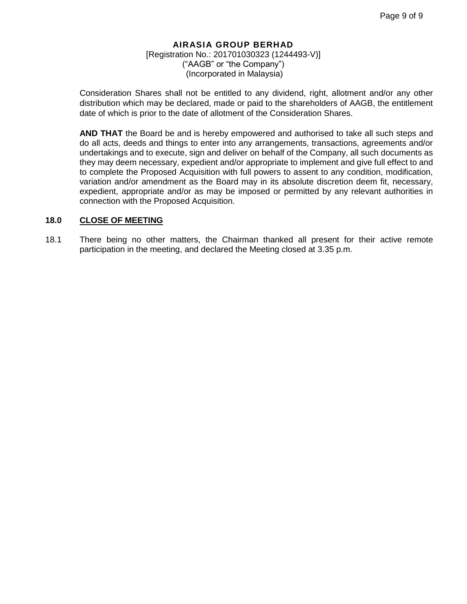Consideration Shares shall not be entitled to any dividend, right, allotment and/or any other distribution which may be declared, made or paid to the shareholders of AAGB, the entitlement date of which is prior to the date of allotment of the Consideration Shares.

**AND THAT** the Board be and is hereby empowered and authorised to take all such steps and do all acts, deeds and things to enter into any arrangements, transactions, agreements and/or undertakings and to execute, sign and deliver on behalf of the Company, all such documents as they may deem necessary, expedient and/or appropriate to implement and give full effect to and to complete the Proposed Acquisition with full powers to assent to any condition, modification, variation and/or amendment as the Board may in its absolute discretion deem fit, necessary, expedient, appropriate and/or as may be imposed or permitted by any relevant authorities in connection with the Proposed Acquisition.

#### **18.0 CLOSE OF MEETING**

18.1 There being no other matters, the Chairman thanked all present for their active remote participation in the meeting, and declared the Meeting closed at 3.35 p.m.